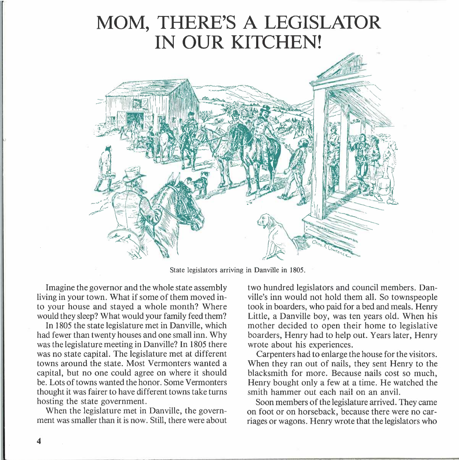## **MOM, THERE'S A LEGISLATOR IN OUR KITCHEN!**



State legislators arriving in Danville in 1805.

Imagine the governor and the whole state assembly living in your town. What if some of them moved into your house and stayed a whole month? Where would they sleep? What would your family feed them?

In 1805 the state legislature met in Danville, which had fewer than twenty houses and one small inn. Why was the legislature meeting in Danville? In 1805 there was no state capital. The legislature met at different towns around the state. Most Vermonters wanted a capital, but no one could agree on where it should be. Lots of towns wanted the honor. Some Vermonters thought it was fairer to have different towns take turns hosting the state government.

When the legislature met in Danville, the government was smaller than it is now. Still, there were about two hundred legislators and council members. Danville's inn would not hold them all. So townspeople took in boarders, who paid for a bed and meals. Henry Little, a Danville boy, was ten years old. When his mother decided to open their home to legislative boarders, Henry had to help out. Years later, Henry wrote about his experiences.

Carpenters had to enlarge the house for the visitors. When they ran out of nails, they sent Henry to the blacksmith for more. Because nails cost so much, Henry bought only a few at a time. He watched the smith hammer out each nail on an anvil.

Soon members of the legislature arrived. They came on foot or on horseback, because there were no carriages or wagons. Henry wrote that the legislators who